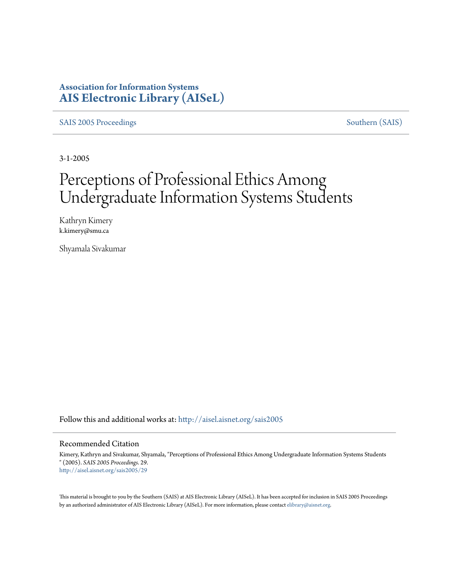## **Association for Information Systems [AIS Electronic Library \(AISeL\)](http://aisel.aisnet.org?utm_source=aisel.aisnet.org%2Fsais2005%2F29&utm_medium=PDF&utm_campaign=PDFCoverPages)**

[SAIS 2005 Proceedings](http://aisel.aisnet.org/sais2005?utm_source=aisel.aisnet.org%2Fsais2005%2F29&utm_medium=PDF&utm_campaign=PDFCoverPages) [Southern \(SAIS\)](http://aisel.aisnet.org/sais?utm_source=aisel.aisnet.org%2Fsais2005%2F29&utm_medium=PDF&utm_campaign=PDFCoverPages)

3-1-2005

# Perceptions of Professional Ethics Among Undergraduate Information Systems Students

Kathryn Kimery k.kimery@smu.ca

Shyamala Sivakumar

Follow this and additional works at: [http://aisel.aisnet.org/sais2005](http://aisel.aisnet.org/sais2005?utm_source=aisel.aisnet.org%2Fsais2005%2F29&utm_medium=PDF&utm_campaign=PDFCoverPages)

#### Recommended Citation

Kimery, Kathryn and Sivakumar, Shyamala, "Perceptions of Professional Ethics Among Undergraduate Information Systems Students " (2005). *SAIS 2005 Proceedings*. 29. [http://aisel.aisnet.org/sais2005/29](http://aisel.aisnet.org/sais2005/29?utm_source=aisel.aisnet.org%2Fsais2005%2F29&utm_medium=PDF&utm_campaign=PDFCoverPages)

This material is brought to you by the Southern (SAIS) at AIS Electronic Library (AISeL). It has been accepted for inclusion in SAIS 2005 Proceedings by an authorized administrator of AIS Electronic Library (AISeL). For more information, please contact [elibrary@aisnet.org](mailto:elibrary@aisnet.org%3E).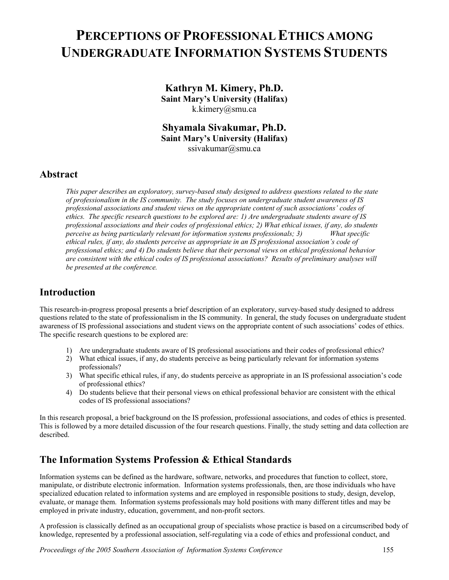## **PERCEPTIONS OF PROFESSIONAL ETHICS AMONG UNDERGRADUATE INFORMATION SYSTEMS STUDENTS**

**Kathryn M. Kimery, Ph.D. Saint Mary's University (Halifax)**  k.kimery@smu.ca

**Shyamala Sivakumar, Ph.D. Saint Mary's University (Halifax)**  ssivakumar@smu.ca

#### **Abstract**

*This paper describes an exploratory, survey-based study designed to address questions related to the state of professionalism in the IS community. The study focuses on undergraduate student awareness of IS professional associations and student views on the appropriate content of such associations' codes of ethics. The specific research questions to be explored are: 1) Are undergraduate students aware of IS professional associations and their codes of professional ethics; 2) What ethical issues, if any, do students perceive as being particularly relevant for information systems professionals; 3) What specific ethical rules, if any, do students perceive as appropriate in an IS professional association's code of professional ethics; and 4) Do students believe that their personal views on ethical professional behavior are consistent with the ethical codes of IS professional associations? Results of preliminary analyses will be presented at the conference.* 

#### **Introduction**

This research-in-progress proposal presents a brief description of an exploratory, survey-based study designed to address questions related to the state of professionalism in the IS community. In general, the study focuses on undergraduate student awareness of IS professional associations and student views on the appropriate content of such associations' codes of ethics. The specific research questions to be explored are:

- 1) Are undergraduate students aware of IS professional associations and their codes of professional ethics?
- 2) What ethical issues, if any, do students perceive as being particularly relevant for information systems professionals?
- 3) What specific ethical rules, if any, do students perceive as appropriate in an IS professional association's code of professional ethics?
- 4) Do students believe that their personal views on ethical professional behavior are consistent with the ethical codes of IS professional associations?

In this research proposal, a brief background on the IS profession, professional associations, and codes of ethics is presented. This is followed by a more detailed discussion of the four research questions. Finally, the study setting and data collection are described.

## **The Information Systems Profession & Ethical Standards**

Information systems can be defined as the hardware, software, networks, and procedures that function to collect, store, manipulate, or distribute electronic information. Information systems professionals, then, are those individuals who have specialized education related to information systems and are employed in responsible positions to study, design, develop, evaluate, or manage them. Information systems professionals may hold positions with many different titles and may be employed in private industry, education, government, and non-profit sectors.

A profession is classically defined as an occupational group of specialists whose practice is based on a circumscribed body of knowledge, represented by a professional association, self-regulating via a code of ethics and professional conduct, and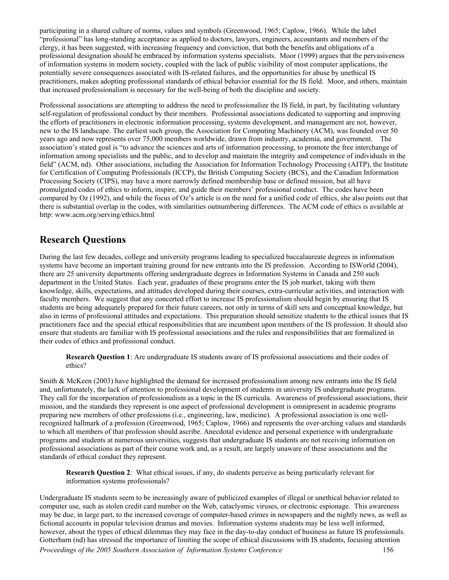participating in a shared culture of norms, values and symbols (Greenwood, 1965; Caplow, 1966). While the label "professional" has long-standing acceptance as applied to doctors, lawyers, engineers, accountants and members of the clergy, it has been suggested, with increasing frequency and conviction, that both the benefits and obligations of a professional designation should be embraced by information systems specialists. Moor (1999) argues that the pervasiveness of information systems in modern society, coupled with the lack of public visibility of most computer applications, the potentially severe consequences associated with IS-related failures, and the opportunities for abuse by unethical IS practitioners, makes adopting professional standards of ethical behavior essential for the IS field. Moor, and others, maintain that increased professionalism is necessary for the well-being of both the discipline and society.

Professional associations are attempting to address the need to professionalize the IS field, in part, by facilitating voluntary self-regulation of professional conduct by their members. Professional associations dedicated to supporting and improving the efforts of practitioners in electronic information processing, systems development, and management are not, however, new to the IS landscape. The earliest such group, the Association for Computing Machinery (ACM), was founded over 50 years ago and now represents over 75,000 members worldwide, drawn from industry, academia, and government. The association's stated goal is "to advance the sciences and arts of information processing, to promote the free interchange of information among specialists and the public, and to develop and maintain the integrity and competence of individuals in the field" (ACM, nd). Other associations, including the Association for Information Technology Processing (AITP), the Institute for Certification of Computing Professionals (ICCP), the British Computing Society (BCS), and the Canadian Information Processing Society (CIPS), may have a more narrowly defined membership base or defined mission, but all have promulgated codes of ethics to inform, inspire, and guide their members' professional conduct. The codes have been compared by Oz (1992), and while the focus of Oz's article is on the need for a unified code of ethics, she also points out that there is substantial overlap in the codes, with similarities outnumbering differences. The ACM code of ethics is available at http: www.acm.org/serving/ethics.html

#### **Research Questions**

During the last few decades, college and university programs leading to specialized baccalaureate degrees in information systems have become an important training ground for new entrants into the IS profession. According to ISWorld (2004), there are 25 university departments offering undergraduate degrees in Information Systems in Canada and 250 such department in the United States. Each year, graduates of these programs enter the IS job market, taking with them knowledge, skills, expectations, and attitudes developed during their courses, extra-curricular activities, and interaction with faculty members. We suggest that any concerted effort to increase IS professionalism should begin by ensuring that IS students are being adequately prepared for their future careers, not only in terms of skill sets and conceptual knowledge, but also in terms of professional attitudes and expectations. This preparation should sensitize students to the ethical issues that IS practitioners face and the special ethical responsibilities that are incumbent upon members of the IS profession. It should also ensure that students are familiar with IS professional associations and the rules and responsibilities that are formalized in their codes of ethics and professional conduct.

**Research Question 1**: Are undergraduate IS students aware of IS professional associations and their codes of ethics?

Smith & McKeen (2003) have highlighted the demand for increased professionalism among new entrants into the IS field and, unfortunately, the lack of attention to professional development of students in university IS undergraduate programs. They call for the incorporation of professionalism as a topic in the IS curricula. Awareness of professional associations, their mission, and the standards they represent is one aspect of professional development is omnipresent in academic programs preparing new members of other professions (i.e., engineering, law, medicine). A professional association is one wellrecognized hallmark of a profession (Greenwood, 1965; Caplow, 1966) and represents the over-arching values and standards to which all members of that profession should ascribe. Anecdotal evidence and personal experience with undergraduate programs and students at numerous universities, suggests that undergraduate IS students are not receiving information on professional associations as part of their course work and, as a result, are largely unaware of these associations and the standards of ethical conduct they represent.

**Research Question 2**: What ethical issues, if any, do students perceive as being particularly relevant for information systems professionals?

Undergraduate IS students seem to be increasingly aware of publicized examples of illegal or unethical behavior related to computer use, such as stolen credit card number on the Web, cataclysmic viruses, or electronic espionage. This awareness may be due, in large part, to the increased coverage of computer-based crimes in newspapers and the nightly news, as well as fictional accounts in popular television dramas and movies. Information systems students may be less well informed, however, about the types of ethical dilemmas they may face in the day-to-day conduct of business as future IS professionals. Gotterbarn (nd) has stressed the importance of limiting the scope of ethical discussions with IS students, focusing attention *Proceedings of the 2005 Southern Association of Information Systems Conference* 156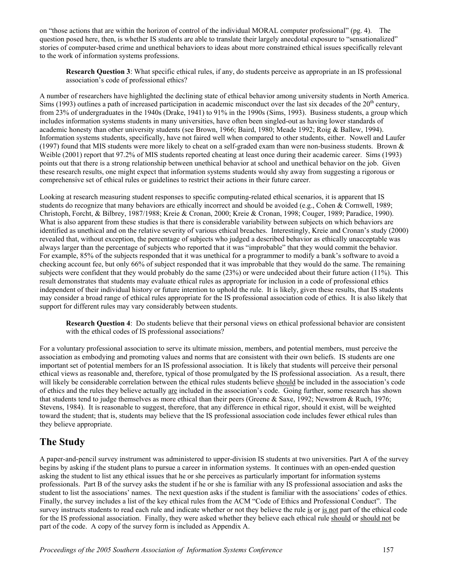on "those actions that are within the horizon of control of the individual MORAL computer professional" (pg. 4). The question posed here, then, is whether IS students are able to translate their largely anecdotal exposure to "sensationalized" stories of computer-based crime and unethical behaviors to ideas about more constrained ethical issues specifically relevant to the work of information systems professions.

**Research Question 3**: What specific ethical rules, if any, do students perceive as appropriate in an IS professional association's code of professional ethics?

A number of researchers have highlighted the declining state of ethical behavior among university students in North America. Sims (1993) outlines a path of increased participation in academic misconduct over the last six decades of the  $20<sup>th</sup>$  century, from 23% of undergraduates in the 1940s (Drake, 1941) to 91% in the 1990s (Sims, 1993). Business students, a group which includes information systems students in many universities, have often been singled-out as having lower standards of academic honesty than other university students (see Brown, 1966; Baird, 1980; Meade 1992; Roig & Ballew, 1994). Information systems students, specifically, have not faired well when compared to other students, either. Nowell and Laufer (1997) found that MIS students were more likely to cheat on a self-graded exam than were non-business students. Brown  $\&$ Weible (2001) report that 97.2% of MIS students reported cheating at least once during their academic career. Sims (1993) points out that there is a strong relationship between unethical behavior at school and unethical behavior on the job. Given these research results, one might expect that information systems students would shy away from suggesting a rigorous or comprehensive set of ethical rules or guidelines to restrict their actions in their future career.

Looking at research measuring student responses to specific computing-related ethical scenarios, it is apparent that IS students do recognize that many behaviors are ethically incorrect and should be avoided (e.g., Cohen & Cornwell, 1989; Christoph, Forcht, & Bilbrey, 1987/1988; Kreie & Cronan, 2000; Kreie & Cronan, 1998; Couger, 1989; Paradice, 1990). What is also apparent from these studies is that there is considerable variability between subjects on which behaviors are identified as unethical and on the relative severity of various ethical breaches. Interestingly, Kreie and Cronan's study (2000) revealed that, without exception, the percentage of subjects who judged a described behavior as ethically unacceptable was always larger than the percentage of subjects who reported that it was "improbable" that they would commit the behavior. For example, 85% of the subjects responded that it was unethical for a programmer to modify a bank's software to avoid a checking account fee, but only 66% of subject responded that it was improbable that they would do the same. The remaining subjects were confident that they would probably do the same (23%) or were undecided about their future action (11%). This result demonstrates that students may evaluate ethical rules as appropriate for inclusion in a code of professional ethics independent of their individual history or future intention to uphold the rule. It is likely, given these results, that IS students may consider a broad range of ethical rules appropriate for the IS professional association code of ethics. It is also likely that support for different rules may vary considerably between students.

**Research Question 4**: Do students believe that their personal views on ethical professional behavior are consistent with the ethical codes of IS professional associations?

For a voluntary professional association to serve its ultimate mission, members, and potential members, must perceive the association as embodying and promoting values and norms that are consistent with their own beliefs. IS students are one important set of potential members for an IS professional association. It is likely that students will perceive their personal ethical views as reasonable and, therefore, typical of those promulgated by the IS professional association. As a result, there will likely be considerable correlation between the ethical rules students believe should be included in the association's code of ethics and the rules they believe actually are included in the association's code. Going further, some research has shown that students tend to judge themselves as more ethical than their peers (Greene & Saxe, 1992; Newstrom & Ruch, 1976; Stevens, 1984). It is reasonable to suggest, therefore, that any difference in ethical rigor, should it exist, will be weighted toward the student; that is, students may believe that the IS professional association code includes fewer ethical rules than they believe appropriate.

## **The Study**

A paper-and-pencil survey instrument was administered to upper-division IS students at two universities. Part A of the survey begins by asking if the student plans to pursue a career in information systems. It continues with an open-ended question asking the student to list any ethical issues that he or she perceives as particularly important for information systems professionals. Part B of the survey asks the student if he or she is familiar with any IS professional association and asks the student to list the associations' names. The next question asks if the student is familiar with the associations' codes of ethics. Finally, the survey includes a list of the key ethical rules from the ACM "Code of Ethics and Professional Conduct". The survey instructs students to read each rule and indicate whether or not they believe the rule is or is not part of the ethical code for the IS professional association. Finally, they were asked whether they believe each ethical rule should or should not be part of the code. A copy of the survey form is included as Appendix A.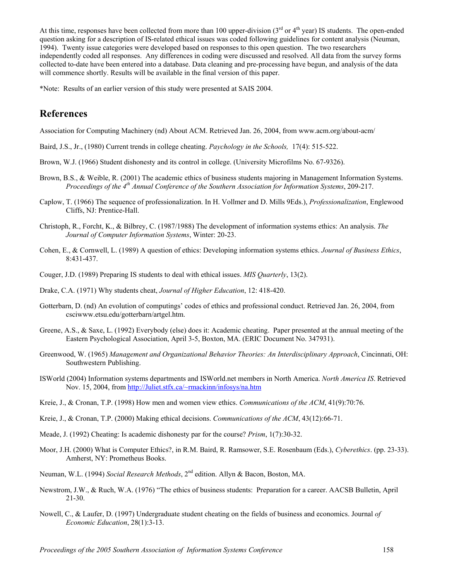At this time, responses have been collected from more than 100 upper-division  $(3<sup>rd</sup> or 4<sup>th</sup> year)$  IS students. The open-ended question asking for a description of IS-related ethical issues was coded following guidelines for content analysis (Neuman, 1994). Twenty issue categories were developed based on responses to this open question. The two researchers independently coded all responses. Any differences in coding were discussed and resolved. All data from the survey forms collected to-date have been entered into a database. Data cleaning and pre-processing have begun, and analysis of the data will commence shortly. Results will be available in the final version of this paper.

\*Note: Results of an earlier version of this study were presented at SAIS 2004.

#### **References**

Association for Computing Machinery (nd) About ACM. Retrieved Jan. 26, 2004, from www.acm.org/about-acm/

- Baird, J.S., Jr., (1980) Current trends in college cheating. *Paychology in the Schools,* 17(4): 515-522.
- Brown, W.J. (1966) Student dishonesty and its control in college. (University Microfilms No. 67-9326).
- Brown, B.S., & Weible, R. (2001) The academic ethics of business students majoring in Management Information Systems. *Proceedings of the 4th Annual Conference of the Southern Association for Information Systems*, 209-217.
- Caplow, T. (1966) The sequence of professionalization. In H. Vollmer and D. Mills 9Eds.), *Professionalization*, Englewood Cliffs, NJ: Prentice-Hall.
- Christoph, R., Forcht, K., & Bilbrey, C. (1987/1988) The development of information systems ethics: An analysis. *The Journal of Computer Information Systems*, Winter: 20-23.
- Cohen, E., & Cornwell, L. (1989) A question of ethics: Developing information systems ethics. *Journal of Business Ethics*, 8:431-437.
- Couger, J.D. (1989) Preparing IS students to deal with ethical issues. *MIS Quarterly*, 13(2).
- Drake, C.A. (1971) Why students cheat, *Journal of Higher Education*, 12: 418-420.
- Gotterbarn, D. (nd) An evolution of computings' codes of ethics and professional conduct. Retrieved Jan. 26, 2004, from csciwww.etsu.edu/gotterbarn/artgel.htm.
- Greene, A.S., & Saxe, L. (1992) Everybody (else) does it: Academic cheating. Paper presented at the annual meeting of the Eastern Psychological Association, April 3-5, Boxton, MA. (ERIC Document No. 347931).
- Greenwood, W. (1965) *Management and Organizational Behavior Theories: An Interdisciplinary Approach*, Cincinnati, OH: Southwestern Publishing.
- ISWorld (2004) Information systems departments and ISWorld.net members in North America. *North America IS*. Retrieved Nov. 15, 2004, from [http://Juliet.stfx.ca/~rmackinn/infosys/na.htm](http://juliet.stfx.ca/~rmackinn/infosys/na.htm)
- Kreie, J., & Cronan, T.P. (1998) How men and women view ethics. *Communications of the ACM*, 41(9):70:76.
- Kreie, J., & Cronan, T.P. (2000) Making ethical decisions. *Communications of the ACM*, 43(12):66-71.
- Meade, J. (1992) Cheating: Is academic dishonesty par for the course? *Prism*, 1(7):30-32.
- Moor, J.H. (2000) What is Computer Ethics?, in R.M. Baird, R. Ramsower, S.E. Rosenbaum (Eds.), *Cyberethics*. (pp. 23-33). Amherst, NY: Prometheus Books.
- Neuman, W.L. (1994) *Social Research Methods*, 2nd edition. Allyn & Bacon, Boston, MA.
- Newstrom, J.W., & Ruch, W.A. (1976) "The ethics of business students: Preparation for a career. AACSB Bulletin, April 21-30.
- Nowell, C., & Laufer, D. (1997) Undergraduate student cheating on the fields of business and economics. Journal *of Economic Education*, 28(1):3-13.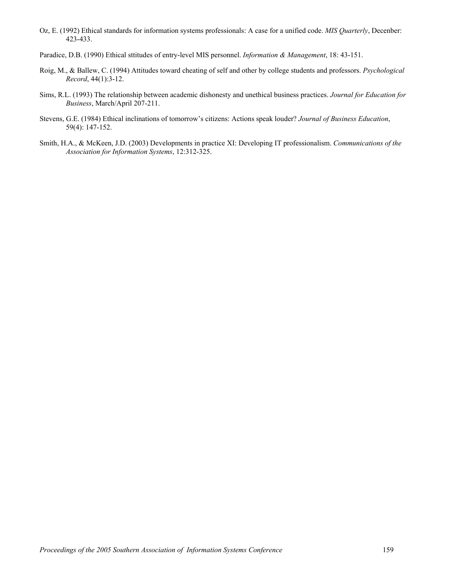- Oz, E. (1992) Ethical standards for information systems professionals: A case for a unified code. *MIS Quarterly*, Decenber: 423-433.
- Paradice, D.B. (1990) Ethical sttitudes of entry-level MIS personnel. *Information & Management*, 18: 43-151.
- Roig, M., & Ballew, C. (1994) Attitudes toward cheating of self and other by college students and professors. *Psychological Record*, 44(1):3-12.
- Sims, R.L. (1993) The relationship between academic dishonesty and unethical business practices. *Journal for Education for Business*, March/April 207-211.
- Stevens, G.E. (1984) Ethical inclinations of tomorrow's citizens: Actions speak louder? *Journal of Business Education*, 59(4): 147-152.
- Smith, H.A., & McKeen, J.D. (2003) Developments in practice XI: Developing IT professionalism. *Communications of the Association for Information Systems*, 12:312-325.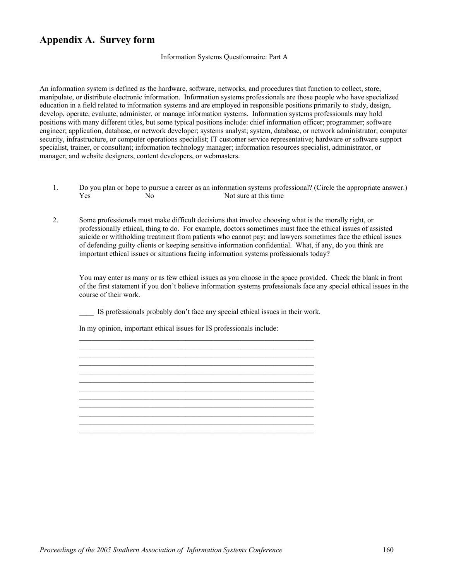#### **Appendix A. Survey form**

#### Information Systems Questionnaire: Part A

An information system is defined as the hardware, software, networks, and procedures that function to collect, store, manipulate, or distribute electronic information. Information systems professionals are those people who have specialized education in a field related to information systems and are employed in responsible positions primarily to study, design, develop, operate, evaluate, administer, or manage information systems. Information systems professionals may hold positions with many different titles, but some typical positions include: chief information officer; programmer; software engineer; application, database, or network developer; systems analyst; system, database, or network administrator; computer security, infrastructure, or computer operations specialist; IT customer service representative; hardware or software support specialist, trainer, or consultant; information technology manager; information resources specialist, administrator, or manager; and website designers, content developers, or webmasters.

- 1. Do you plan or hope to pursue a career as an information systems professional? (Circle the appropriate answer.) Yes No No Not sure at this time
- 2. Some professionals must make difficult decisions that involve choosing what is the morally right, or professionally ethical, thing to do. For example, doctors sometimes must face the ethical issues of assisted suicide or withholding treatment from patients who cannot pay; and lawyers sometimes face the ethical issues of defending guilty clients or keeping sensitive information confidential. What, if any, do you think are important ethical issues or situations facing information systems professionals today?

You may enter as many or as few ethical issues as you choose in the space provided. Check the blank in front of the first statement if you don't believe information systems professionals face any special ethical issues in the course of their work.

\_\_\_\_ IS professionals probably don't face any special ethical issues in their work.

 $\_$  , and the set of the set of the set of the set of the set of the set of the set of the set of the set of the set of the set of the set of the set of the set of the set of the set of the set of the set of the set of th

 $\_$  , and the set of the set of the set of the set of the set of the set of the set of the set of the set of the set of the set of the set of the set of the set of the set of the set of the set of the set of the set of th  $\mathcal{L}_\text{max} = \frac{1}{2} \sum_{i=1}^n \mathcal{L}_\text{max}(\mathbf{z}_i - \mathbf{z}_i)$ 

In my opinion, important ethical issues for IS professionals include: